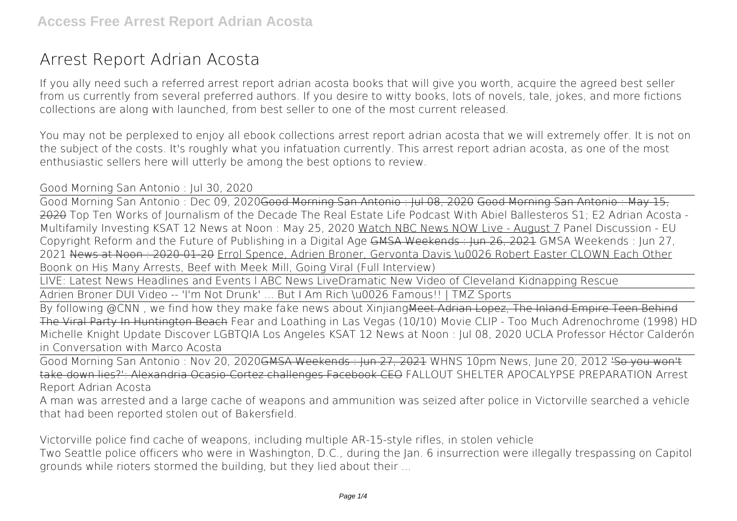## **Arrest Report Adrian Acosta**

If you ally need such a referred **arrest report adrian acosta** books that will give you worth, acquire the agreed best seller from us currently from several preferred authors. If you desire to witty books, lots of novels, tale, jokes, and more fictions collections are along with launched, from best seller to one of the most current released.

You may not be perplexed to enjoy all ebook collections arrest report adrian acosta that we will extremely offer. It is not on the subject of the costs. It's roughly what you infatuation currently. This arrest report adrian acosta, as one of the most enthusiastic sellers here will utterly be among the best options to review.

## **Good Morning San Antonio : Jul 30, 2020**

Good Morning San Antonio : Dec 09, 2020Good Morning San Antonio : Jul 08, 2020 Good Morning San Antonio : May 15, 2020 Top Ten Works of Journalism of the Decade The Real Estate Life Podcast With Abiel Ballesteros S1: E2 Adrian Acosta -Multifamily Investing *KSAT 12 News at Noon : May 25, 2020* Watch NBC News NOW Live - August 7 **Panel Discussion - EU Copyright Reform and the Future of Publishing in a Digital Age** GMSA Weekends : Jun 26, 2021 GMSA Weekends : Jun 27, 2021 News at Noon : 2020-01-20 Errol Spence, Adrien Broner, Gervonta Davis \u0026 Robert Easter CLOWN Each Other **Boonk on His Many Arrests, Beef with Meek Mill, Going Viral (Full Interview)**

LIVE: Latest News Headlines and Events l ABC News Live**Dramatic New Video of Cleveland Kidnapping Rescue**

Adrien Broner DUI Video -- 'I'm Not Drunk' ... But I Am Rich \u0026 Famous!! | TMZ Sports

By following @CNN, we find how they make fake news about XinjiangMeet Adrian Lopez. The Inland Empire Teen Behind The Viral Party In Huntington Beach *Fear and Loathing in Las Vegas (10/10) Movie CLIP - Too Much Adrenochrome (1998) HD* **Michelle Knight Update** *Discover LGBTQIA Los Angeles KSAT 12 News at Noon : Jul 08, 2020* **UCLA Professor Héctor Calderón in Conversation with Marco Acosta**

Good Morning San Antonio : Nov 20, 2020GMSA Weekends : Jun 27, 2021 **WHNS 10pm News, June 20, 2012** 'So you won't take down lies?': Alexandria Ocasio-Cortez challenges Facebook CEO *FALLOUT SHELTER APOCALYPSE PREPARATION Arrest Report Adrian Acosta*

A man was arrested and a large cache of weapons and ammunition was seized after police in Victorville searched a vehicle that had been reported stolen out of Bakersfield.

*Victorville police find cache of weapons, including multiple AR-15-style rifles, in stolen vehicle* Two Seattle police officers who were in Washington, D.C., during the Jan. 6 insurrection were illegally trespassing on Capitol grounds while rioters stormed the building, but they lied about their ...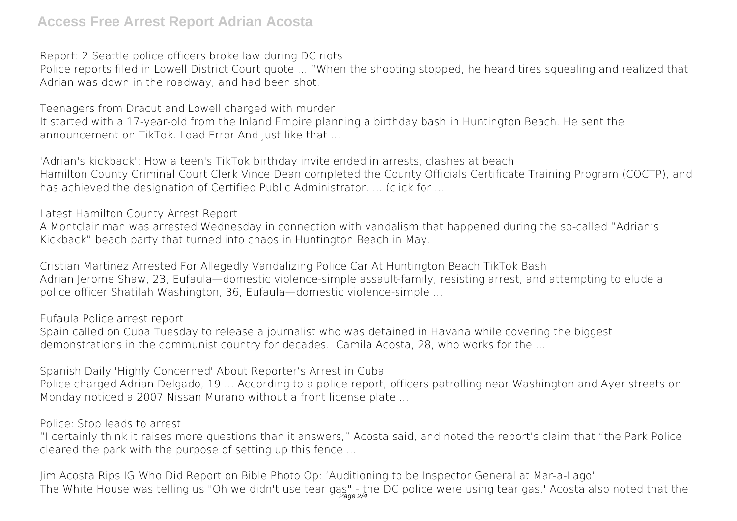## **Access Free Arrest Report Adrian Acosta**

*Report: 2 Seattle police officers broke law during DC riots*

Police reports filed in Lowell District Court quote ... "When the shooting stopped, he heard tires squealing and realized that Adrian was down in the roadway, and had been shot.

*Teenagers from Dracut and Lowell charged with murder* It started with a 17-year-old from the Inland Empire planning a birthday bash in Huntington Beach. He sent the announcement on TikTok. Load Error And just like that ...

*'Adrian's kickback': How a teen's TikTok birthday invite ended in arrests, clashes at beach* Hamilton County Criminal Court Clerk Vince Dean completed the County Officials Certificate Training Program (COCTP), and has achieved the designation of Certified Public Administrator. ... (click for ...

*Latest Hamilton County Arrest Report*

A Montclair man was arrested Wednesday in connection with vandalism that happened during the so-called "Adrian's Kickback" beach party that turned into chaos in Huntington Beach in May.

*Cristian Martinez Arrested For Allegedly Vandalizing Police Car At Huntington Beach TikTok Bash* Adrian Jerome Shaw, 23, Eufaula—domestic violence-simple assault-family, resisting arrest, and attempting to elude a police officer Shatilah Washington, 36, Eufaula—domestic violence-simple ...

*Eufaula Police arrest report*

Spain called on Cuba Tuesday to release a journalist who was detained in Havana while covering the biggest demonstrations in the communist country for decades. Camila Acosta, 28, who works for the ...

*Spanish Daily 'Highly Concerned' About Reporter's Arrest in Cuba* Police charged Adrian Delgado, 19 ... According to a police report, officers patrolling near Washington and Ayer streets on Monday noticed a 2007 Nissan Murano without a front license plate ...

*Police: Stop leads to arrest*

"I certainly think it raises more questions than it answers," Acosta said, and noted the report's claim that "the Park Police cleared the park with the purpose of setting up this fence ...

*Jim Acosta Rips IG Who Did Report on Bible Photo Op: 'Auditioning to be Inspector General at Mar-a-Lago'* The White House was telling us "Oh we didn't use tear gas" - the DC police were using tear gas.' Acosta also noted that the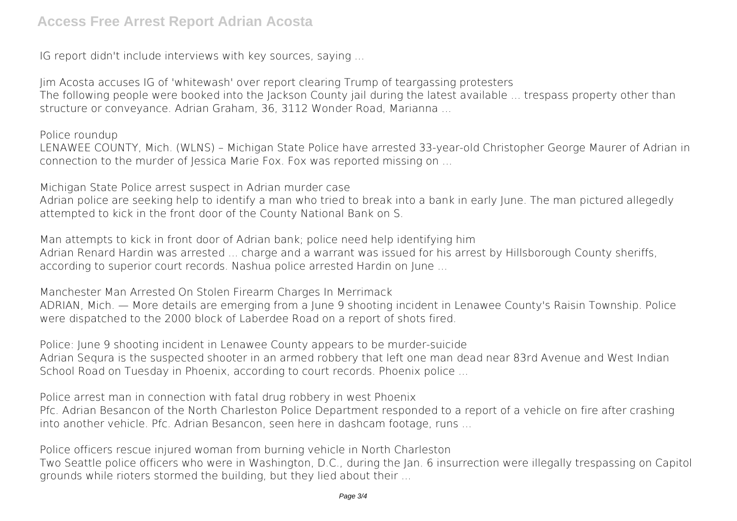IG report didn't include interviews with key sources, saying ...

*Jim Acosta accuses IG of 'whitewash' over report clearing Trump of teargassing protesters* The following people were booked into the Jackson County jail during the latest available ... trespass property other than structure or conveyance. Adrian Graham, 36, 3112 Wonder Road, Marianna ...

*Police roundup*

LENAWEE COUNTY, Mich. (WLNS) – Michigan State Police have arrested 33-year-old Christopher George Maurer of Adrian in connection to the murder of Jessica Marie Fox. Fox was reported missing on ...

*Michigan State Police arrest suspect in Adrian murder case*

Adrian police are seeking help to identify a man who tried to break into a bank in early June. The man pictured allegedly attempted to kick in the front door of the County National Bank on S.

*Man attempts to kick in front door of Adrian bank; police need help identifying him* Adrian Renard Hardin was arrested ... charge and a warrant was issued for his arrest by Hillsborough County sheriffs, according to superior court records. Nashua police arrested Hardin on June ...

*Manchester Man Arrested On Stolen Firearm Charges In Merrimack*

ADRIAN, Mich. — More details are emerging from a June 9 shooting incident in Lenawee County's Raisin Township. Police were dispatched to the 2000 block of Laberdee Road on a report of shots fired.

*Police: June 9 shooting incident in Lenawee County appears to be murder-suicide* Adrian Sequra is the suspected shooter in an armed robbery that left one man dead near 83rd Avenue and West Indian School Road on Tuesday in Phoenix, according to court records. Phoenix police ...

*Police arrest man in connection with fatal drug robbery in west Phoenix*

Pfc. Adrian Besancon of the North Charleston Police Department responded to a report of a vehicle on fire after crashing into another vehicle. Pfc. Adrian Besancon, seen here in dashcam footage, runs ...

*Police officers rescue injured woman from burning vehicle in North Charleston*

Two Seattle police officers who were in Washington, D.C., during the Jan. 6 insurrection were illegally trespassing on Capitol grounds while rioters stormed the building, but they lied about their ...